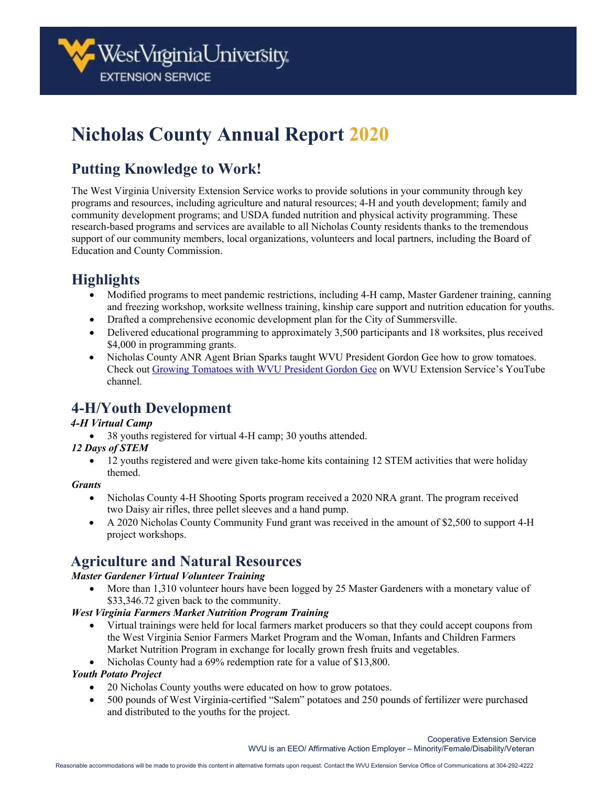# **Nicholas County Annual Report 2020**

# **Putting Knowledge to Work!**

The West Virginia University Extension Service works to provide solutions in your community through key programs and resources, including agriculture and natural resources; 4-H and youth development; family and community development programs; and USDA funded nutrition and physical activity programming. These research-based programs and services are available to all Nicholas County residents thanks to the tremendous support of our community members, local organizations, volunteers and local partners, including the Board of Education and County Commission.

## **Highlights**

- Modified programs to meet pandemic restrictions, including 4-H camp, Master Gardener training, canning and freezing workshop, worksite wellness training, kinship care support and nutrition education for youths.
- Drafted a comprehensive economic development plan for the City of Summersville.
- Delivered educational programming to approximately 3,500 participants and 18 worksites, plus received \$4,000 in programming grants.
- Nicholas County ANR Agent Brian Sparks taught WVU President Gordon Gee how to grow tomatoes. Check out [Growing Tomatoes with WVU President Gordon Gee](https://www.youtube.com/watch?v=nJayr5CPGSY) on WVU Extension Service's YouTube channel.

### **4-H/Youth Development**

#### *4-H Virtual Camp*

• 38 youths registered for virtual 4-H camp; 30 youths attended.

#### *12 Days of STEM*

• 12 youths registered and were given take-home kits containing 12 STEM activities that were holiday themed.

#### *Grants*

- Nicholas County 4-H Shooting Sports program received a 2020 NRA grant. The program received two Daisy air rifles, three pellet sleeves and a hand pump.
- A 2020 Nicholas County Community Fund grant was received in the amount of \$2,500 to support 4-H project workshops.

### **Agriculture and Natural Resources**

#### *Master Gardener Virtual Volunteer Training*

• More than 1,310 volunteer hours have been logged by 25 Master Gardeners with a monetary value of \$33,346.72 given back to the community.

#### *West Virginia Farmers Market Nutrition Program Training*

- Virtual trainings were held for local farmers market producers so that they could accept coupons from the West Virginia Senior Farmers Market Program and the Woman, Infants and Children Farmers Market Nutrition Program in exchange for locally grown fresh fruits and vegetables.
- Nicholas County had a 69% redemption rate for a value of \$13,800.

#### *Youth Potato Project*

- 20 Nicholas County youths were educated on how to grow potatoes.
- 500 pounds of West Virginia-certified "Salem" potatoes and 250 pounds of fertilizer were purchased and distributed to the youths for the project.